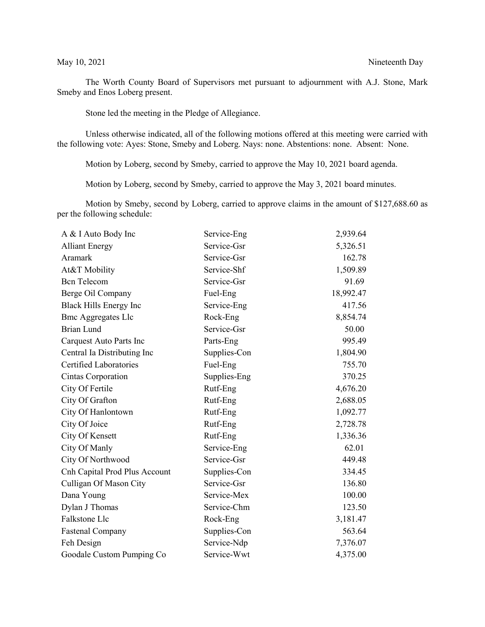The Worth County Board of Supervisors met pursuant to adjournment with A.J. Stone, Mark Smeby and Enos Loberg present.

Stone led the meeting in the Pledge of Allegiance.

Unless otherwise indicated, all of the following motions offered at this meeting were carried with the following vote: Ayes: Stone, Smeby and Loberg. Nays: none. Abstentions: none. Absent: None.

Motion by Loberg, second by Smeby, carried to approve the May 10, 2021 board agenda.

Motion by Loberg, second by Smeby, carried to approve the May 3, 2021 board minutes.

Motion by Smeby, second by Loberg, carried to approve claims in the amount of \$127,688.60 as per the following schedule:

| A & I Auto Body Inc           | Service-Eng  | 2,939.64  |
|-------------------------------|--------------|-----------|
| <b>Alliant Energy</b>         | Service-Gsr  | 5,326.51  |
| Aramark                       | Service-Gsr  | 162.78    |
| At&T Mobility                 | Service-Shf  | 1,509.89  |
| <b>Bcn</b> Telecom            | Service-Gsr  | 91.69     |
| Berge Oil Company             | Fuel-Eng     | 18,992.47 |
| Black Hills Energy Inc        | Service-Eng  | 417.56    |
| <b>Bmc Aggregates Llc</b>     | Rock-Eng     | 8,854.74  |
| Brian Lund                    | Service-Gsr  | 50.00     |
| Carquest Auto Parts Inc       | Parts-Eng    | 995.49    |
| Central Ia Distributing Inc   | Supplies-Con | 1,804.90  |
| <b>Certified Laboratories</b> | Fuel-Eng     | 755.70    |
| Cintas Corporation            | Supplies-Eng | 370.25    |
| City Of Fertile               | Rutf-Eng     | 4,676.20  |
| City Of Grafton               | Rutf-Eng     | 2,688.05  |
| City Of Hanlontown            | Rutf-Eng     | 1,092.77  |
| City Of Joice                 | Rutf-Eng     | 2,728.78  |
| City Of Kensett               | Rutf-Eng     | 1,336.36  |
| City Of Manly                 | Service-Eng  | 62.01     |
| City Of Northwood             | Service-Gsr  | 449.48    |
| Cnh Capital Prod Plus Account | Supplies-Con | 334.45    |
| Culligan Of Mason City        | Service-Gsr  | 136.80    |
| Dana Young                    | Service-Mex  | 100.00    |
| Dylan J Thomas                | Service-Chm  | 123.50    |
| Falkstone Llc                 | Rock-Eng     | 3,181.47  |
| <b>Fastenal Company</b>       | Supplies-Con | 563.64    |
| Feh Design                    | Service-Ndp  | 7,376.07  |
| Goodale Custom Pumping Co     | Service-Wwt  | 4,375.00  |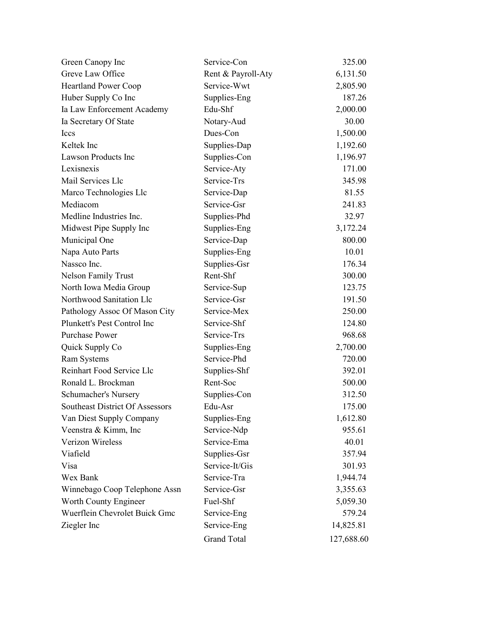| Green Canopy Inc                       | Service-Con        | 325.00     |
|----------------------------------------|--------------------|------------|
| Greve Law Office                       | Rent & Payroll-Aty | 6,131.50   |
| <b>Heartland Power Coop</b>            | Service-Wwt        | 2,805.90   |
| Huber Supply Co Inc                    | Supplies-Eng       | 187.26     |
| Ia Law Enforcement Academy             | Edu-Shf            | 2,000.00   |
| Ia Secretary Of State                  | Notary-Aud         | 30.00      |
| <b>Iccs</b>                            | Dues-Con           | 1,500.00   |
| Keltek Inc                             | Supplies-Dap       | 1,192.60   |
| Lawson Products Inc                    | Supplies-Con       | 1,196.97   |
| Lexisnexis                             | Service-Aty        | 171.00     |
| Mail Services Llc                      | Service-Trs        | 345.98     |
| Marco Technologies Llc                 | Service-Dap        | 81.55      |
| Mediacom                               | Service-Gsr        | 241.83     |
| Medline Industries Inc.                | Supplies-Phd       | 32.97      |
| Midwest Pipe Supply Inc                | Supplies-Eng       | 3,172.24   |
| Municipal One                          | Service-Dap        | 800.00     |
| Napa Auto Parts                        | Supplies-Eng       | 10.01      |
| Nassco Inc.                            | Supplies-Gsr       | 176.34     |
| <b>Nelson Family Trust</b>             | Rent-Shf           | 300.00     |
| North Iowa Media Group                 | Service-Sup        | 123.75     |
| Northwood Sanitation Llc               | Service-Gsr        | 191.50     |
| Pathology Assoc Of Mason City          | Service-Mex        | 250.00     |
| Plunkett's Pest Control Inc            | Service-Shf        | 124.80     |
| <b>Purchase Power</b>                  | Service-Trs        | 968.68     |
| Quick Supply Co                        | Supplies-Eng       | 2,700.00   |
| Ram Systems                            | Service-Phd        | 720.00     |
| Reinhart Food Service Llc              | Supplies-Shf       | 392.01     |
| Ronald L. Brockman                     | Rent-Soc           | 500.00     |
| Schumacher's Nursery                   | Supplies-Con       | 312.50     |
| <b>Southeast District Of Assessors</b> | Edu-Asr            | 175.00     |
| Van Diest Supply Company               | Supplies-Eng       | 1,612.80   |
| Veenstra & Kimm, Inc                   | Service-Ndp        | 955.61     |
| Verizon Wireless                       | Service-Ema        | 40.01      |
| Viafield                               | Supplies-Gsr       | 357.94     |
| Visa                                   | Service-It/Gis     | 301.93     |
| Wex Bank                               | Service-Tra        | 1,944.74   |
| Winnebago Coop Telephone Assn          | Service-Gsr        | 3,355.63   |
| Worth County Engineer                  | Fuel-Shf           | 5,059.30   |
| Wuerflein Chevrolet Buick Gmc          | Service-Eng        | 579.24     |
| Ziegler Inc                            | Service-Eng        | 14,825.81  |
|                                        | <b>Grand Total</b> | 127,688.60 |